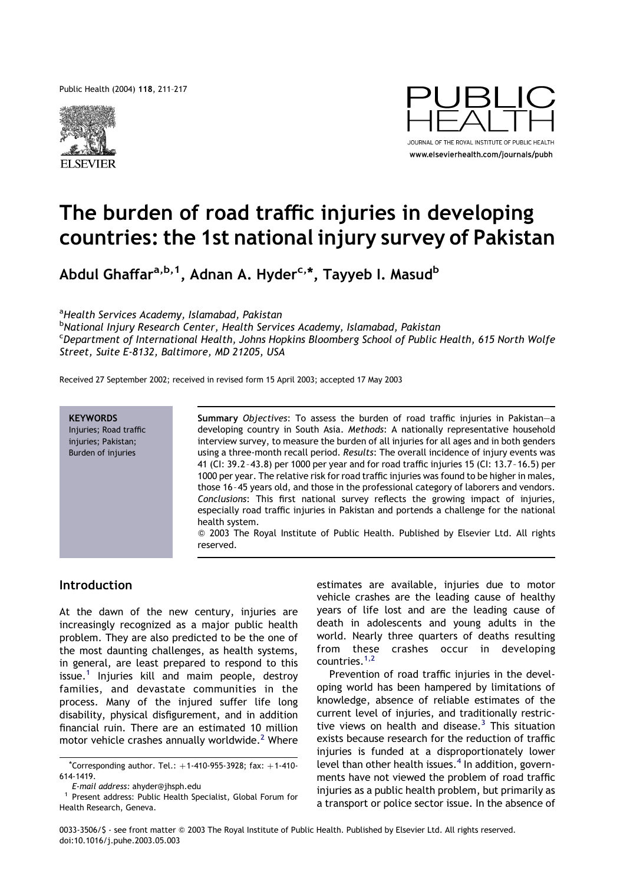Public Health (2004) 118, 211–217





# The burden of road traffic injuries in developing countries: the 1st national injury survey of Pakistan

Abdul Ghaffar<sup>a,b,1</sup>, Adnan A. Hyder<sup>c,\*</sup>, Tayyeb I. Masud<sup>b</sup>

<sup>a</sup>Health Services Academy, Islamabad, Pakistan

<sup>b</sup>National Injury Research Center, Health Services Academy, Islamabad, Pakistan c Department of International Health, Johns Hopkins Bloomberg School of Public Health, 615 North Wolfe Street, Suite E-8132, Baltimore, MD 21205, USA

Received 27 September 2002; received in revised form 15 April 2003; accepted 17 May 2003



Summary Objectives: To assess the burden of road traffic injuries in Pakistan—a developing country in South Asia. Methods: A nationally representative household interview survey, to measure the burden of all injuries for all ages and in both genders using a three-month recall period. Results: The overall incidence of injury events was 41 (CI: 39.2–43.8) per 1000 per year and for road traffic injuries 15 (CI: 13.7–16.5) per 1000 per year. The relative risk for road traffic injuries was found to be higher in males, those 16–45 years old, and those in the professional category of laborers and vendors. Conclusions: This first national survey reflects the growing impact of injuries, especially road traffic injuries in Pakistan and portends a challenge for the national health system.

 $@$  2003 The Royal Institute of Public Health. Published by Elsevier Ltd. All rights reserved.

## Introduction

At the dawn of the new century, injuries are increasingly recognized as a major public health problem. They are also predicted to be the one of the most daunting challenges, as health systems, in general, are least prepared to respond to this issue.<sup>[1](#page-5-0)</sup> Injuries kill and maim people, destroy families, and devastate communities in the process. Many of the injured suffer life long disability, physical disfigurement, and in addition financial ruin. There are an estimated 10 million motor vehicle crashes annually worldwide.<sup>[2](#page-5-0)</sup> Where

 $*$ Corresponding author. Tel.:  $+1-410-955-3928$ ; fax:  $+1-410-$ 614-1419.

estimates are available, injuries due to motor vehicle crashes are the leading cause of healthy years of life lost and are the leading cause of death in adolescents and young adults in the world. Nearly three quarters of deaths resulting from these crashes occur in developing countries.[1,2](#page-5-0)

Prevention of road traffic injuries in the developing world has been hampered by limitations of knowledge, absence of reliable estimates of the current level of injuries, and traditionally restrictive views on health and disease. $3$  This situation exists because research for the reduction of traffic injuries is funded at a disproportionately lower level than other health issues. $4$  In addition, governments have not viewed the problem of road traffic injuries as a public health problem, but primarily as a transport or police sector issue. In the absence of

E-mail address: ahyder@jhsph.edu

Present address: Public Health Specialist, Global Forum for Health Research, Geneva.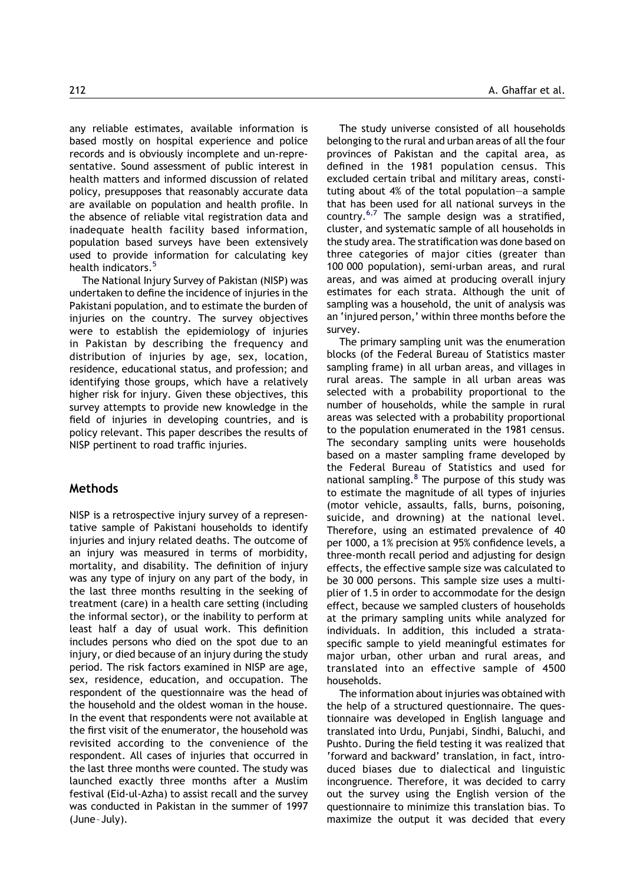any reliable estimates, available information is based mostly on hospital experience and police records and is obviously incomplete and un-representative. Sound assessment of public interest in health matters and informed discussion of related policy, presupposes that reasonably accurate data are available on population and health profile. In the absence of reliable vital registration data and inadequate health facility based information, population based surveys have been extensively used to provide information for calculating key health indicators.<sup>[5](#page-5-0)</sup>

The National Injury Survey of Pakistan (NISP) was undertaken to define the incidence of injuries in the Pakistani population, and to estimate the burden of injuries on the country. The survey objectives were to establish the epidemiology of injuries in Pakistan by describing the frequency and distribution of injuries by age, sex, location, residence, educational status, and profession; and identifying those groups, which have a relatively higher risk for injury. Given these objectives, this survey attempts to provide new knowledge in the field of injuries in developing countries, and is policy relevant. This paper describes the results of NISP pertinent to road traffic injuries.

## **Methods**

NISP is a retrospective injury survey of a representative sample of Pakistani households to identify injuries and injury related deaths. The outcome of an injury was measured in terms of morbidity, mortality, and disability. The definition of injury was any type of injury on any part of the body, in the last three months resulting in the seeking of treatment (care) in a health care setting (including the informal sector), or the inability to perform at least half a day of usual work. This definition includes persons who died on the spot due to an injury, or died because of an injury during the study period. The risk factors examined in NISP are age, sex, residence, education, and occupation. The respondent of the questionnaire was the head of the household and the oldest woman in the house. In the event that respondents were not available at the first visit of the enumerator, the household was revisited according to the convenience of the respondent. All cases of injuries that occurred in the last three months were counted. The study was launched exactly three months after a Muslim festival (Eid-ul-Azha) to assist recall and the survey was conducted in Pakistan in the summer of 1997 (June–July).

The study universe consisted of all households belonging to the rural and urban areas of all the four provinces of Pakistan and the capital area, as defined in the 1981 population census. This excluded certain tribal and military areas, constituting about 4% of the total population—a sample that has been used for all national surveys in the country.<sup>[6,7](#page-5-0)</sup> The sample design was a stratified, cluster, and systematic sample of all households in the study area. The stratification was done based on three categories of major cities (greater than 100 000 population), semi-urban areas, and rural areas, and was aimed at producing overall injury estimates for each strata. Although the unit of sampling was a household, the unit of analysis was an 'injured person,' within three months before the survey.

The primary sampling unit was the enumeration blocks (of the Federal Bureau of Statistics master sampling frame) in all urban areas, and villages in rural areas. The sample in all urban areas was selected with a probability proportional to the number of households, while the sample in rural areas was selected with a probability proportional to the population enumerated in the 1981 census. The secondary sampling units were households based on a master sampling frame developed by the Federal Bureau of Statistics and used for national sampling. $8$  The purpose of this study was to estimate the magnitude of all types of injuries (motor vehicle, assaults, falls, burns, poisoning, suicide, and drowning) at the national level. Therefore, using an estimated prevalence of 40 per 1000, a 1% precision at 95% confidence levels, a three-month recall period and adjusting for design effects, the effective sample size was calculated to be 30 000 persons. This sample size uses a multiplier of 1.5 in order to accommodate for the design effect, because we sampled clusters of households at the primary sampling units while analyzed for individuals. In addition, this included a strataspecific sample to yield meaningful estimates for major urban, other urban and rural areas, and translated into an effective sample of 4500 households.

The information about injuries was obtained with the help of a structured questionnaire. The questionnaire was developed in English language and translated into Urdu, Punjabi, Sindhi, Baluchi, and Pushto. During the field testing it was realized that 'forward and backward' translation, in fact, introduced biases due to dialectical and linguistic incongruence. Therefore, it was decided to carry out the survey using the English version of the questionnaire to minimize this translation bias. To maximize the output it was decided that every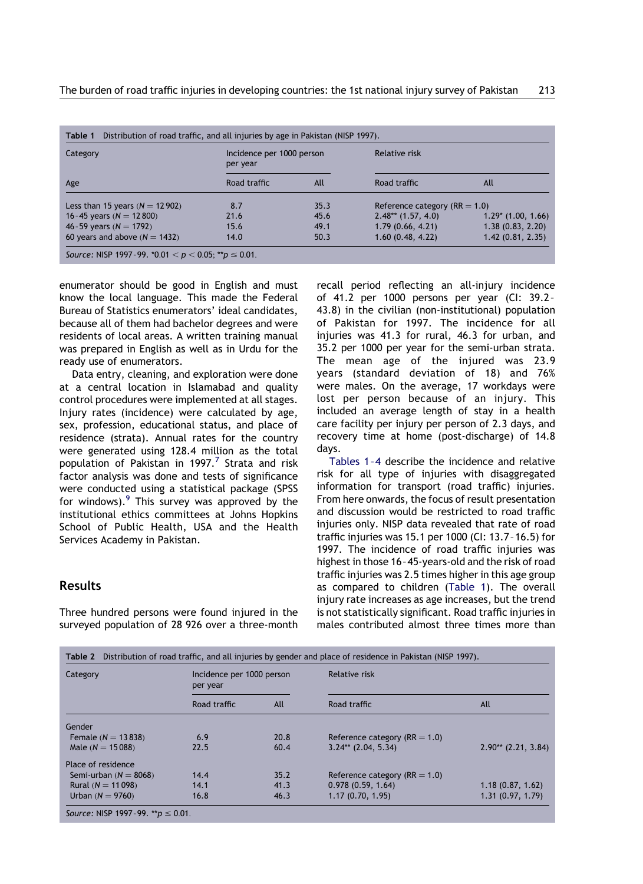<span id="page-2-0"></span>

| Category                           | Incidence per 1000 person<br>per year |      | Relative risk                     |                       |
|------------------------------------|---------------------------------------|------|-----------------------------------|-----------------------|
| Age                                | Road traffic                          | All  | Road traffic                      | All                   |
| Less than 15 years ( $N = 12902$ ) | 8.7                                   | 35.3 | Reference category ( $RR = 1.0$ ) |                       |
| 16-45 years ( $N = 12800$ )        | 21.6                                  | 45.6 | $2.48**$ (1.57, 4.0)              | $1.29$ * (1.00, 1.66) |
| 46-59 years ( $N = 1792$ )         | 15.6                                  | 49.1 | 1.79(0.66, 4.21)                  | 1.38(0.83, 2.20)      |
| 60 years and above $(N = 1432)$    | 14.0                                  | 50.3 | 1.60(0.48, 4.22)                  | 1.42(0.81, 2.35)      |

enumerator should be good in English and must know the local language. This made the Federal Bureau of Statistics enumerators' ideal candidates, because all of them had bachelor degrees and were residents of local areas. A written training manual was prepared in English as well as in Urdu for the ready use of enumerators.

Data entry, cleaning, and exploration were done at a central location in Islamabad and quality control procedures were implemented at all stages. Injury rates (incidence) were calculated by age, sex, profession, educational status, and place of residence (strata). Annual rates for the country were generated using 128.4 million as the total population of Pakistan in 199[7](#page-5-0).<sup>7</sup> Strata and risk factor analysis was done and tests of significance were conducted using a statistical package (SPSS for windows).<sup>[9](#page-5-0)</sup> This survey was approved by the institutional ethics committees at Johns Hopkins School of Public Health, USA and the Health Services Academy in Pakistan.

## Results

Three hundred persons were found injured in the surveyed population of 28 926 over a three-month recall period reflecting an all-injury incidence of 41.2 per 1000 persons per year (CI: 39.2– 43.8) in the civilian (non-institutional) population of Pakistan for 1997. The incidence for all injuries was 41.3 for rural, 46.3 for urban, and 35.2 per 1000 per year for the semi-urban strata. The mean age of the injured was 23.9 years (standard deviation of 18) and 76% were males. On the average, 17 workdays were lost per person because of an injury. This included an average length of stay in a health care facility per injury per person of 2.3 days, and recovery time at home (post-discharge) of 14.8 days.

Tables 1–4 describe the incidence and relative risk for all type of injuries with disaggregated information for transport (road traffic) injuries. From here onwards, the focus of result presentation and discussion would be restricted to road traffic injuries only. NISP data revealed that rate of road traffic injuries was 15.1 per 1000 (CI: 13.7–16.5) for 1997. The incidence of road traffic injuries was highest in those 16–45-years-old and the risk of road traffic injuries was 2.5 times higher in this age group as compared to children (Table 1). The overall injury rate increases as age increases, but the trend is not statistically significant. Road traffic injuries in males contributed almost three times more than

| Category                | Incidence per 1000 person<br>per year |      | Relative risk                     |                       |  |
|-------------------------|---------------------------------------|------|-----------------------------------|-----------------------|--|
|                         | Road traffic                          | All  | Road traffic                      | All                   |  |
| Gender                  |                                       |      |                                   |                       |  |
| Female $(N = 13838)$    | 6.9                                   | 20.8 | Reference category ( $RR = 1.0$ ) |                       |  |
| Male $(N = 15088)$      | 22.5                                  | 60.4 | $3.24**$ (2.04, 5.34)             | $2.90**$ (2.21, 3.84) |  |
| Place of residence      |                                       |      |                                   |                       |  |
| Semi-urban $(N = 8068)$ | 14.4                                  | 35.2 | Reference category ( $RR = 1.0$ ) |                       |  |
| Rural $(N = 11098)$     | 14.1                                  | 41.3 | 0.978(0.59, 1.64)                 | 1.18(0.87, 1.62)      |  |
| Urban $(N = 9760)$      | 16.8                                  | 46.3 | 1.17(0.70, 1.95)                  | 1.31(0.97, 1.79)      |  |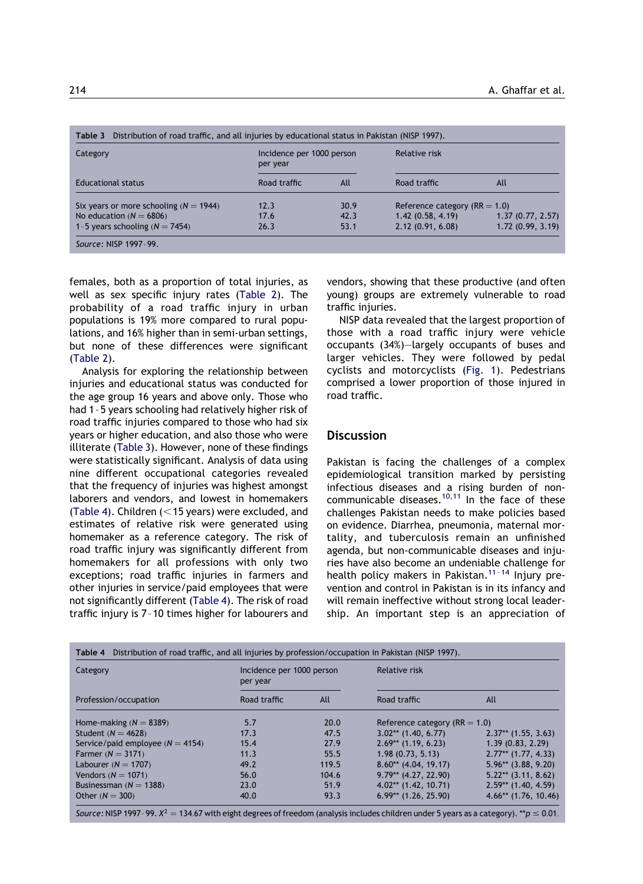| Category                                   | Incidence per 1000 person<br>per year |      | Relative risk                     |                  |
|--------------------------------------------|---------------------------------------|------|-----------------------------------|------------------|
| <b>Educational status</b>                  | Road traffic                          | All  | Road traffic                      | All              |
| Six years or more schooling ( $N = 1944$ ) | 12.3                                  | 30.9 | Reference category ( $RR = 1.0$ ) |                  |
| No education $(N = 6806)$                  | 17.6                                  | 42.3 | 1.42(0.58, 4.19)                  | 1.37(0.77, 2.57) |
| 1-5 years schooling ( $N = 7454$ )         | 26.3                                  | 53.1 | 2.12(0.91, 6.08)                  | 1.72(0.99, 3.19) |

females, both as a proportion of total injuries, as well as sex specific injury rates [\(Table 2\)](#page-2-0). The probability of a road traffic injury in urban populations is 19% more compared to rural populations, and 16% higher than in semi-urban settings, but none of these differences were significant ([Table 2\)](#page-2-0).

Analysis for exploring the relationship between injuries and educational status was conducted for the age group 16 years and above only. Those who had 1–5 years schooling had relatively higher risk of road traffic injuries compared to those who had six years or higher education, and also those who were illiterate (Table 3). However, none of these findings were statistically significant. Analysis of data using nine different occupational categories revealed that the frequency of injuries was highest amongst laborers and vendors, and lowest in homemakers (Table 4). Children  $(<$  15 years) were excluded, and estimates of relative risk were generated using homemaker as a reference category. The risk of road traffic injury was significantly different from homemakers for all professions with only two exceptions; road traffic injuries in farmers and other injuries in service/paid employees that were not significantly different (Table 4). The risk of road traffic injury is 7–10 times higher for labourers and

vendors, showing that these productive (and often young) groups are extremely vulnerable to road traffic injuries.

NISP data revealed that the largest proportion of those with a road traffic injury were vehicle occupants (34%)—largely occupants of buses and larger vehicles. They were followed by pedal cyclists and motorcyclists [\(Fig. 1\)](#page-4-0). Pedestrians comprised a lower proportion of those injured in road traffic.

#### **Discussion**

Pakistan is facing the challenges of a complex epidemiological transition marked by persisting infectious diseases and a rising burden of non-communicable diseases.<sup>[10,11](#page-5-0)</sup> In the face of these challenges Pakistan needs to make policies based on evidence. Diarrhea, pneumonia, maternal mortality, and tuberculosis remain an unfinished agenda, but non-communicable diseases and injuries have also become an undeniable challenge for health policy makers in Pakistan.<sup>11-14</sup> Injury prevention and control in Pakistan is in its infancy and will remain ineffective without strong local leadership. An important step is an appreciation of

| Category                           | Incidence per 1000 person<br>per year |       | Relative risk                     |                        |
|------------------------------------|---------------------------------------|-------|-----------------------------------|------------------------|
| Profession/occupation              | Road traffic                          | All   | Road traffic                      | All                    |
| Home-making $(N = 8389)$           | 5.7                                   | 20.0  | Reference category ( $RR = 1.0$ ) |                        |
| Student ( $N = 4628$ )             | 17.3                                  | 47.5  | $3.02**$ (1.40, 6.77)             | $2.37**$ (1.55, 3.63)  |
| Service/paid employee $(N = 4154)$ | 15.4                                  | 27.9  | $2.69**$ (1.19, 6.23)             | 1.39(0.83, 2.29)       |
| Farmer $(N = 3171)$                | 11.3                                  | 55.5  | 1.98(0.73, 5.13)                  | $2.77**$ (1.77, 4.33)  |
| Labourer $(N = 1707)$              | 49.2                                  | 119.5 | $8.60**$ (4.04, 19.17)            | $5.96**$ (3.88, 9.20)  |
| Vendors ( $N = 1071$ )             | 56.0                                  | 104.6 | $9.79**$ (4.27, 22.90)            | $5.22**$ (3.11, 8.62)  |
| Businessman $(N = 1388)$           | 23.0                                  | 51.9  | $4.02**$ (1.42, 10.71)            | $2.59**$ (1.40, 4.59)  |
| Other $(N = 300)$                  | 40.0                                  | 93.3  | $6.99**$ (1.26, 25.90)            | $4.66**$ (1.76, 10.46) |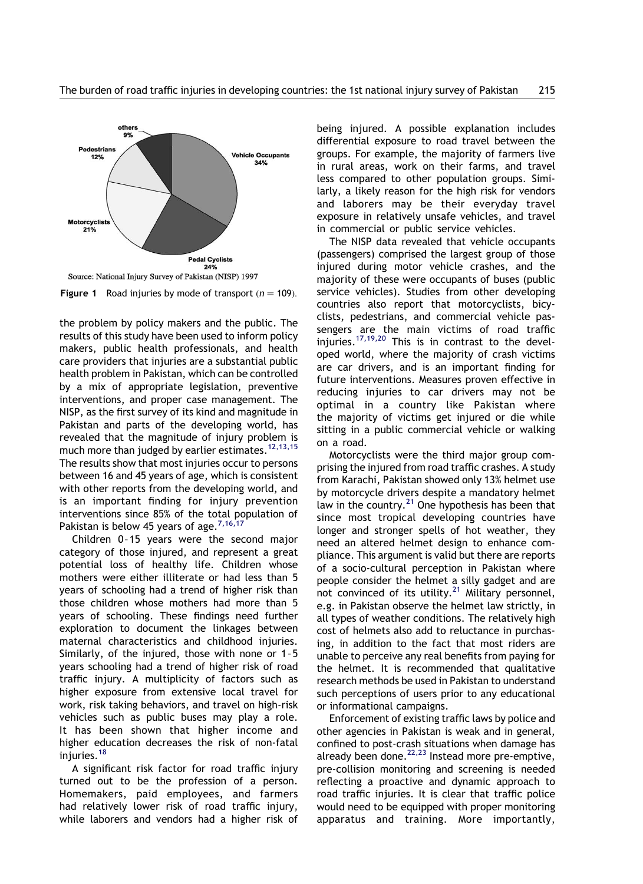<span id="page-4-0"></span>

Figure 1 Road injuries by mode of transport  $(n = 109)$ .

the problem by policy makers and the public. The results of this study have been used to inform policy makers, public health professionals, and health care providers that injuries are a substantial public health problem in Pakistan, which can be controlled by a mix of appropriate legislation, preventive interventions, and proper case management. The NISP, as the first survey of its kind and magnitude in Pakistan and parts of the developing world, has revealed that the magnitude of injury problem is much more than judged by earlier estimates.<sup>[12,13,15](#page-5-0)</sup> The results show that most injuries occur to persons between 16 and 45 years of age, which is consistent with other reports from the developing world, and is an important finding for injury prevention interventions since 85% of the total population of Pakistan is below 45 years of age.<sup>[7,16,17](#page-5-0)</sup>

Children 0–15 years were the second major category of those injured, and represent a great potential loss of healthy life. Children whose mothers were either illiterate or had less than 5 years of schooling had a trend of higher risk than those children whose mothers had more than 5 years of schooling. These findings need further exploration to document the linkages between maternal characteristics and childhood injuries. Similarly, of the injured, those with none or 1–5 years schooling had a trend of higher risk of road traffic injury. A multiplicity of factors such as higher exposure from extensive local travel for work, risk taking behaviors, and travel on high-risk vehicles such as public buses may play a role. It has been shown that higher income and higher education decreases the risk of non-fatal injuries.<sup>[18](#page-6-0)</sup>

A significant risk factor for road traffic injury turned out to be the profession of a person. Homemakers, paid employees, and farmers had relatively lower risk of road traffic injury, while laborers and vendors had a higher risk of being injured. A possible explanation includes differential exposure to road travel between the groups. For example, the majority of farmers live in rural areas, work on their farms, and travel less compared to other population groups. Similarly, a likely reason for the high risk for vendors and laborers may be their everyday travel exposure in relatively unsafe vehicles, and travel in commercial or public service vehicles.

The NISP data revealed that vehicle occupants (passengers) comprised the largest group of those injured during motor vehicle crashes, and the majority of these were occupants of buses (public service vehicles). Studies from other developing countries also report that motorcyclists, bicyclists, pedestrians, and commercial vehicle passengers are the main victims of road traffic injuries.<sup>[17,19,20](#page-6-0)</sup> This is in contrast to the developed world, where the majority of crash victims are car drivers, and is an important finding for future interventions. Measures proven effective in reducing injuries to car drivers may not be optimal in a country like Pakistan where the majority of victims get injured or die while sitting in a public commercial vehicle or walking on a road.

Motorcyclists were the third major group comprising the injured from road traffic crashes. A study from Karachi, Pakistan showed only 13% helmet use by motorcycle drivers despite a mandatory helmet law in the country. $^{21}$  $^{21}$  $^{21}$  One hypothesis has been that since most tropical developing countries have longer and stronger spells of hot weather, they need an altered helmet design to enhance compliance. This argument is valid but there are reports of a socio-cultural perception in Pakistan where people consider the helmet a silly gadget and are not convinced of its utility. $21$  Military personnel, e.g. in Pakistan observe the helmet law strictly, in all types of weather conditions. The relatively high cost of helmets also add to reluctance in purchasing, in addition to the fact that most riders are unable to perceive any real benefits from paying for the helmet. It is recommended that qualitative research methods be used in Pakistan to understand such perceptions of users prior to any educational or informational campaigns.

Enforcement of existing traffic laws by police and other agencies in Pakistan is weak and in general, confined to post-crash situations when damage has already been done. $22,23$  Instead more pre-emptive, pre-collision monitoring and screening is needed reflecting a proactive and dynamic approach to road traffic injuries. It is clear that traffic police would need to be equipped with proper monitoring apparatus and training. More importantly,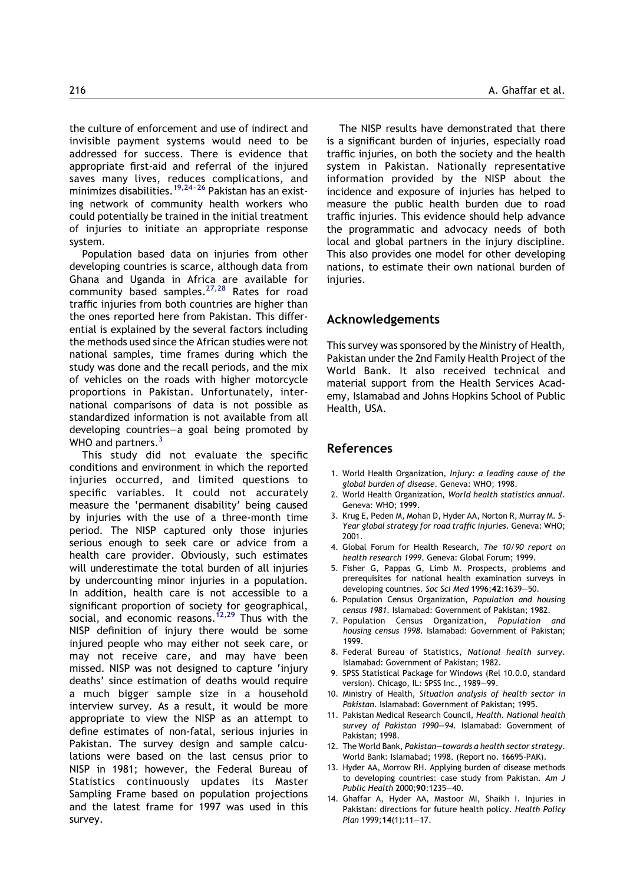<span id="page-5-0"></span>the culture of enforcement and use of indirect and invisible payment systems would need to be addressed for success. There is evidence that appropriate first-aid and referral of the injured saves many lives, reduces complications, and minimizes disabilities.<sup>19,24-26</sup> Pakistan has an existing network of community health workers who could potentially be trained in the initial treatment of injuries to initiate an appropriate response system.

Population based data on injuries from other developing countries is scarce, although data from Ghana and Uganda in Africa are available for community based samples. $27,28$  Rates for road traffic injuries from both countries are higher than the ones reported here from Pakistan. This differential is explained by the several factors including the methods used since the African studies were not national samples, time frames during which the study was done and the recall periods, and the mix of vehicles on the roads with higher motorcycle proportions in Pakistan. Unfortunately, international comparisons of data is not possible as standardized information is not available from all developing countries—a goal being promoted by WHO and partners.<sup>3</sup>

This study did not evaluate the specific conditions and environment in which the reported injuries occurred, and limited questions to specific variables. It could not accurately measure the 'permanent disability' being caused by injuries with the use of a three-month time period. The NISP captured only those injuries serious enough to seek care or advice from a health care provider. Obviously, such estimates will underestimate the total burden of all injuries by undercounting minor injuries in a population. In addition, health care is not accessible to a significant proportion of society for geographical, social, and economic reasons.<sup>12,29</sup> Thus with the NISP definition of injury there would be some injured people who may either not seek care, or may not receive care, and may have been missed. NISP was not designed to capture 'injury deaths' since estimation of deaths would require a much bigger sample size in a household interview survey. As a result, it would be more appropriate to view the NISP as an attempt to define estimates of non-fatal, serious injuries in Pakistan. The survey design and sample calculations were based on the last census prior to NISP in 1981; however, the Federal Bureau of Statistics continuously updates its Master Sampling Frame based on population projections and the latest frame for 1997 was used in this survey.

The NISP results have demonstrated that there is a significant burden of injuries, especially road traffic injuries, on both the society and the health system in Pakistan. Nationally representative information provided by the NISP about the incidence and exposure of injuries has helped to measure the public health burden due to road traffic injuries. This evidence should help advance the programmatic and advocacy needs of both local and global partners in the injury discipline. This also provides one model for other developing nations, to estimate their own national burden of injuries.

### Acknowledgements

This survey was sponsored by the Ministry of Health, Pakistan under the 2nd Family Health Project of the World Bank. It also received technical and material support from the Health Services Academy, Islamabad and Johns Hopkins School of Public Health, USA.

#### References

- 1. World Health Organization, Injury: a leading cause of the global burden of disease. Geneva: WHO; 1998.
- 2. World Health Organization, World health statistics annual. Geneva: WHO; 1999.
- 3. Krug E, Peden M, Mohan D, Hyder AA, Norton R, Murray M. 5- Year global strategy for road traffic injuries. Geneva: WHO; 2001.
- 4. Global Forum for Health Research, The 10/90 report on health research 1999. Geneva: Global Forum; 1999.
- 5. Fisher G, Pappas G, Limb M. Prospects, problems and prerequisites for national health examination surveys in developing countries. Soc Sci Med 1996;42:1639—50.
- 6. Population Census Organization, Population and housing census 1981. Islamabad: Government of Pakistan; 1982.
- 7. Population Census Organization, Population and housing census 1998. Islamabad: Government of Pakistan; 1999.
- 8. Federal Bureau of Statistics, National health survey. Islamabad: Government of Pakistan; 1982.
- 9. SPSS Statistical Package for Windows (Rel 10.0.0, standard version). Chicago, IL: SPSS Inc., 1989—99.
- 10. Ministry of Health, Situation analysis of health sector in Pakistan. Islamabad: Government of Pakistan; 1995.
- 11. Pakistan Medical Research Council, Health. National health survey of Pakistan 1990—94. Islamabad: Government of Pakistan; 1998.
- 12. The World Bank, Pakistan—towards a health sector strategy. World Bank: Islamabad; 1998. (Report no. 16695-PAK).
- 13. Hyder AA, Morrow RH. Applying burden of disease methods to developing countries: case study from Pakistan. Am J Public Health 2000;90:1235—40.
- 14. Ghaffar A, Hyder AA, Mastoor MI, Shaikh I. Injuries in Pakistan: directions for future health policy. Health Policy Plan 1999;14(1):11—17.